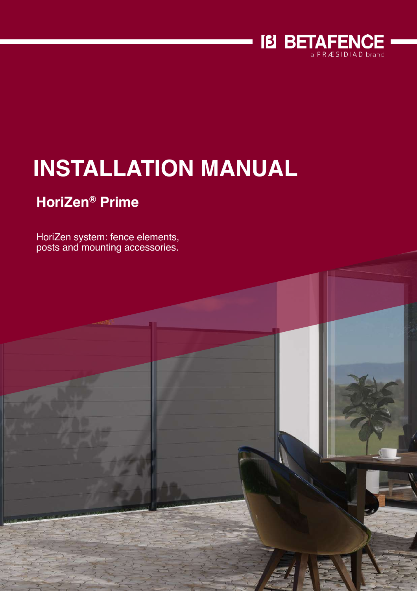

# **INSTALLATION MANUAL**

# **HoriZen® Prime**

HoriZen system: fence elements, posts and mounting accessories.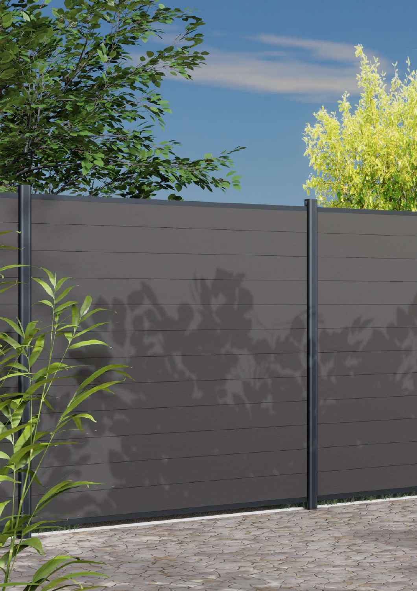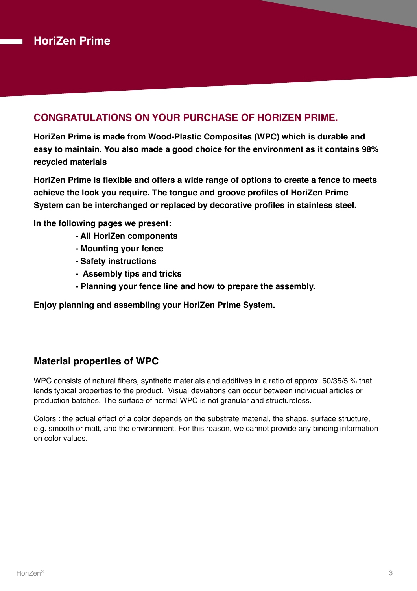# **CONGRATULATIONS ON YOUR PURCHASE OF HORIZEN PRIME.**

**HoriZen Prime is made from Wood-Plastic Composites (WPC) which is durable and easy to maintain. You also made a good choice for the environment as it contains 98% recycled materials**

**HoriZen Prime is flexible and offers a wide range of options to create a fence to meets achieve the look you require. The tongue and groove profiles of HoriZen Prime System can be interchanged or replaced by decorative profiles in stainless steel.**

**In the following pages we present:**

- **- All HoriZen components**
- **- Mounting your fence**
- **- Safety instructions**
- **- Assembly tips and tricks**
- **- Planning your fence line and how to prepare the assembly.**

**Enjoy planning and assembling your HoriZen Prime System.**

### **Material properties of WPC**

WPC consists of natural fibers, synthetic materials and additives in a ratio of approx. 60/35/5 % that lends typical properties to the product. Visual deviations can occur between individual articles or production batches. The surface of normal WPC is not granular and structureless.

Colors : the actual effect of a color depends on the substrate material, the shape, surface structure, e.g. smooth or matt, and the environment. For this reason, we cannot provide any binding information on color values.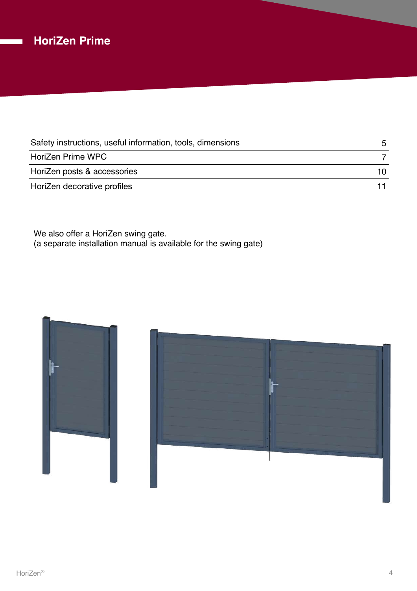# **HoriZen Prime**

| Safety instructions, useful information, tools, dimensions | 5   |
|------------------------------------------------------------|-----|
| HoriZen Prime WPC                                          |     |
| HoriZen posts & accessories                                | 10. |
| HoriZen decorative profiles                                | 11  |

We also offer a HoriZen swing gate. (a separate installation manual is available for the swing gate)

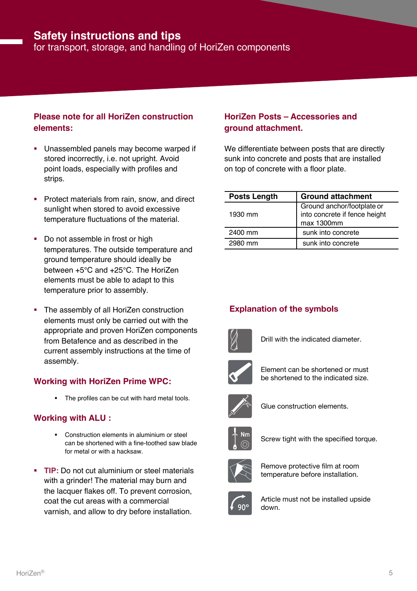# **Safety instructions and tips**

for transport, storage, and handling of HoriZen components

### **Please note for all HoriZen construction elements:**

- Unassembled panels may become warped if stored incorrectly, i.e. not upright. Avoid point loads, especially with profiles and strips.
- **Protect materials from rain, snow, and direct** sunlight when stored to avoid excessive temperature fluctuations of the material.
- Do not assemble in frost or high temperatures. The outside temperature and ground temperature should ideally be between +5°C and +25°C. The HoriZen elements must be able to adapt to this temperature prior to assembly.
- The assembly of all HoriZen construction elements must only be carried out with the appropriate and proven HoriZen components from Betafence and as described in the current assembly instructions at the time of assembly.

### **Working with HoriZen Prime WPC:**

• The profiles can be cut with hard metal tools.

### **Working with ALU :**

- § Construction elements in aluminium or steel can be shortened with a fine-toothed saw blade for metal or with a hacksaw.
- **TIP:** Do not cut aluminium or steel materials with a grinder! The material may burn and the lacquer flakes off. To prevent corrosion, coat the cut areas with a commercial varnish, and allow to dry before installation.

#### **HoriZen Posts – Accessories and ground attachment.**

We differentiate between posts that are directly sunk into concrete and posts that are installed on top of concrete with a floor plate.

| <b>Posts Length</b> | <b>Ground attachment</b>                                                  |
|---------------------|---------------------------------------------------------------------------|
| 1930 mm             | Ground anchor/footplate or<br>into concrete if fence height<br>max 1300mm |
| 2400 mm             | sunk into concrete                                                        |
| 2980 mm             | sunk into concrete                                                        |

# **Explanation of the symbols**



Drill with the indicated diameter.



Element can be shortened or must be shortened to the indicated size.



Glue construction elements.



Screw tight with the specified torque.



Remove protective film at room temperature before installation.



Article must not be installed upside down.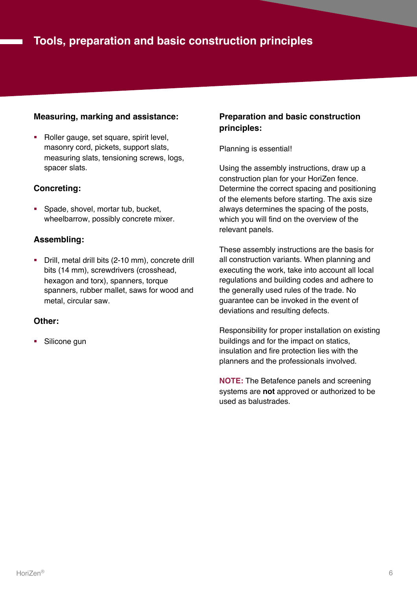# **Tools, preparation and basic construction principles**

#### **Measuring, marking and assistance:**

■ Roller gauge, set square, spirit level, masonry cord, pickets, support slats, measuring slats, tensioning screws, logs, spacer slats.

#### **Concreting:**

■ Spade, shovel, mortar tub, bucket, wheelbarrow, possibly concrete mixer.

#### **Assembling:**

■ Drill, metal drill bits (2-10 mm), concrete drill bits (14 mm), screwdrivers (crosshead, hexagon and torx), spanners, torque spanners, rubber mallet, saws for wood and metal, circular saw.

#### **Other:**

■ Silicone gun

#### **Preparation and basic construction principles:**

Planning is essential!

Using the assembly instructions, draw up a construction plan for your HoriZen fence. Determine the correct spacing and positioning of the elements before starting. The axis size always determines the spacing of the posts, which you will find on the overview of the relevant panels.

These assembly instructions are the basis for all construction variants. When planning and executing the work, take into account all local regulations and building codes and adhere to the generally used rules of the trade. No guarantee can be invoked in the event of deviations and resulting defects.

Responsibility for proper installation on existing buildings and for the impact on statics, insulation and fire protection lies with the planners and the professionals involved.

**NOTE:** The Betafence panels and screening systems are **not** approved or authorized to be used as balustrades.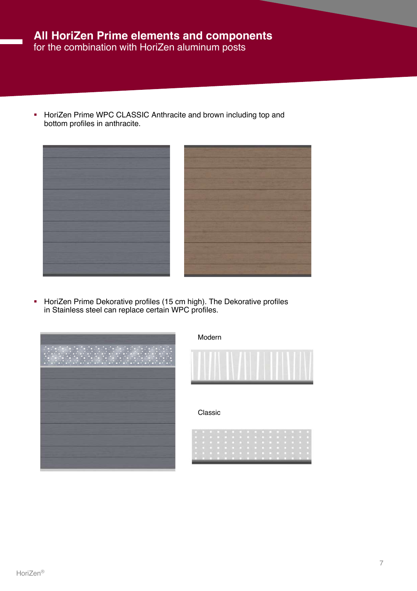# **All HoriZen Prime elements and components**  for the combination with HoriZen aluminum posts

**• HoriZen Prime WPC CLASSIC Anthracite and brown including top and** bottom profiles in anthracite.



■ HoriZen Prime Dekorative profiles (15 cm high). The Dekorative profiles in Stainless steel can replace certain WPC profiles.

| Modern |  |  |
|--------|--|--|
|        |  |  |
|        |  |  |

#### Classic

| .<br>.<br>.<br>.<br>. |  |  |  |  | . |  |  |  |  |
|-----------------------|--|--|--|--|---|--|--|--|--|
|                       |  |  |  |  |   |  |  |  |  |
|                       |  |  |  |  |   |  |  |  |  |
|                       |  |  |  |  |   |  |  |  |  |
|                       |  |  |  |  |   |  |  |  |  |
|                       |  |  |  |  |   |  |  |  |  |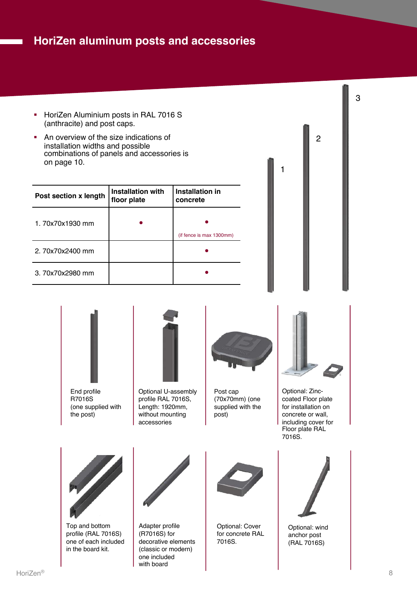# **HoriZen aluminum posts and accessories**

- § HoriZen Aluminium posts in RAL 7016 S (anthracite) and post caps.
- An overview of the size indications of installation widths and possible combinations of panels and accessories is on page 10.

| Post section x length | <b>Installation with</b><br>floor plate | Installation in<br>concrete |
|-----------------------|-----------------------------------------|-----------------------------|
| 1.70x70x1930 mm       |                                         | (if fence is max 1300mm)    |
| 2.70x70x2400 mm       |                                         |                             |
| 3.70x70x2980 mm       |                                         |                             |



3





Optional U-assembly profile RAL 7016S, Length: 1920mm, without mounting accessories



Post cap (70x70mm) (one supplied with the post)



Optional: Zinccoated Floor plate for installation on concrete or wall, including cover for Floor plate RAL 7016S.



Top and bottom profile (RAL 7016S) one of each included in the board kit.



Adapter profile (R7016S) for decorative elements (classic or modern) one included with board



Optional: Cover for concrete RAL 7016S.



Optional: wind anchor post (RAL 7016S)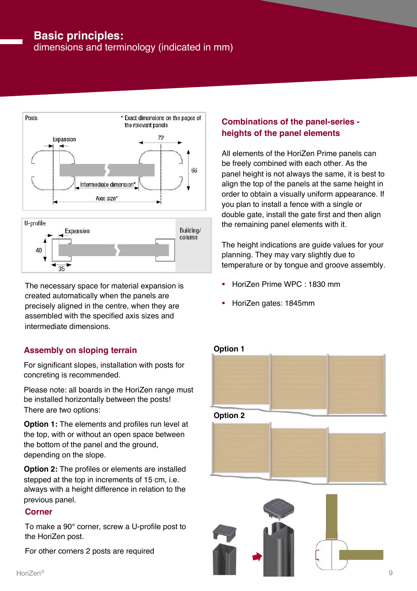# **Basic principles:**

dimensions and terminology (indicated in mm)



The necessary space for material expansion is created automatically when the panels are precisely aligned in the centre, when they are assembled with the specified axis sizes and intermediate dimensions.

# **Assembly on sloping terrain**

For significant slopes, installation with posts for concreting is recommended.

Please note: all boards in the HoriZen range must be installed horizontally between the posts! There are two options:

**Option 1:** The elements and profiles run level at the top, with or without an open space between the bottom of the panel and the ground, depending on the slope.

**Option 2:** The profiles or elements are installed stepped at the top in increments of 15 cm, i.e. always with a height difference in relation to the previous panel.

#### **Corner**

To make a 90° corner, screw a U-profile post to the HoriZen post.

For other corners 2 posts are required

### **Combinations of the panel-series heights of the panel elements**

All elements of the HoriZen Prime panels can be freely combined with each other. As the panel height is not always the same, it is best to align the top of the panels at the same height in order to obtain a visually uniform appearance. If you plan to install a fence with a single or double gate, install the gate first and then align the remaining panel elements with it.

The height indications are guide values for your planning. They may vary slightly due to temperature or by tongue and groove assembly.

- § HoriZen Prime WPC : 1830 mm
- § HoriZen gates: 1845mm

#### **Option 1**



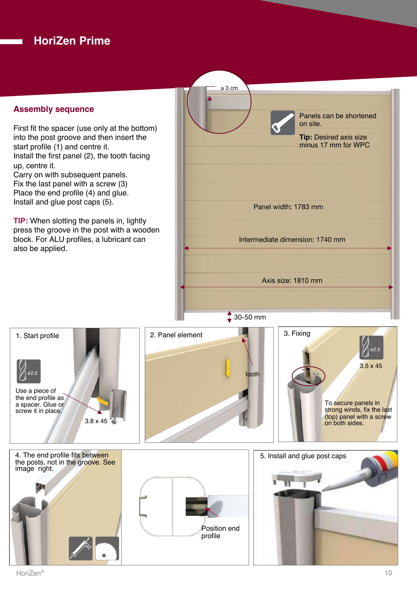# **HoriZen Prime**



Install the first panel (2), the tooth facing up, centre it. Carry on with subsequent panels. Fix the last panel with a screw (3)

Place the end profile (4) and glue. Install and glue post caps (5).

**TIP:** When slotting the panels in, lightly press the groove in the post with a wooden block. For ALU profiles, a lubricant can also be applied.



Position end profile 1. Start profile Use a piece of the end profile as a spacer. Glue or screw it in place. 3.8 x 45 ø2.5 2. Panel element tooth 3. Fixing ø2.5 To secure panels in strong winds, fix the last (top) panel with a screw on both sides.  $3.5 \times 45$ 4. The end profile fits between the posts, not in the groove. See image right. 5. Install and glue post caps

HoriZen®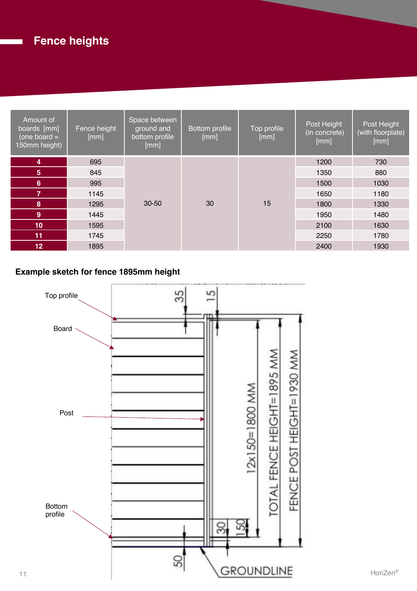# **Fence heights**

| Amount of<br>boards [mm]<br>(one board $=$<br>150mm height) | Fence height<br>[mm] | Space between<br>ground and<br>bottom profile<br>[mm] | Bottom profile<br>[mm] | Top profile<br>[mm] | Post Height<br>(in concrete)<br>[mm] | Post Height<br>(with floorplate)<br>[mm] |
|-------------------------------------------------------------|----------------------|-------------------------------------------------------|------------------------|---------------------|--------------------------------------|------------------------------------------|
| 4                                                           | 695                  |                                                       |                        |                     | 1200                                 | 730                                      |
| $5\phantom{1}$                                              | 845                  |                                                       |                        |                     | 1350                                 | 880                                      |
| $6\phantom{1}$                                              | 995                  |                                                       |                        |                     | 1500                                 | 1030                                     |
| $\overline{7}$                                              | 1145                 |                                                       |                        |                     | 1650                                 | 1180                                     |
| 8                                                           | 1295                 | $30 - 50$                                             | 30                     | 15                  | 1800                                 | 1330                                     |
| 9                                                           | 1445                 |                                                       |                        |                     | 1950                                 | 1480                                     |
| 10 <sub>1</sub>                                             | 1595                 |                                                       |                        |                     | 2100                                 | 1630                                     |
| 11                                                          | 1745                 |                                                       |                        |                     | 2250                                 | 1780                                     |
| 12 <sub>2</sub>                                             | 1895                 |                                                       |                        |                     | 2400                                 | 1930                                     |

### **Example sketch for fence 1895mm height**

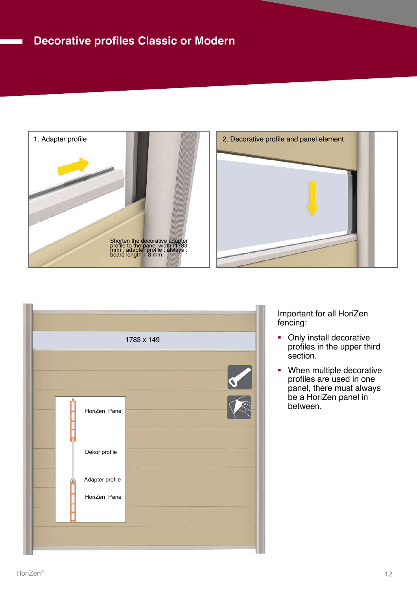# **Decorative profiles Classic or Modern**





|  |                 | 1783 x 149 |
|--|-----------------|------------|
|  |                 | K          |
|  | HoriZen Panel   |            |
|  | Dekor profile   |            |
|  | Adapter profile |            |
|  | HoriZen Panel   |            |

Important for all HoriZen fencing:

- Only install decorative profiles in the upper third section.
- **When multiple decorative** profiles are used in one panel, there must always be a HoriZen panel in between.